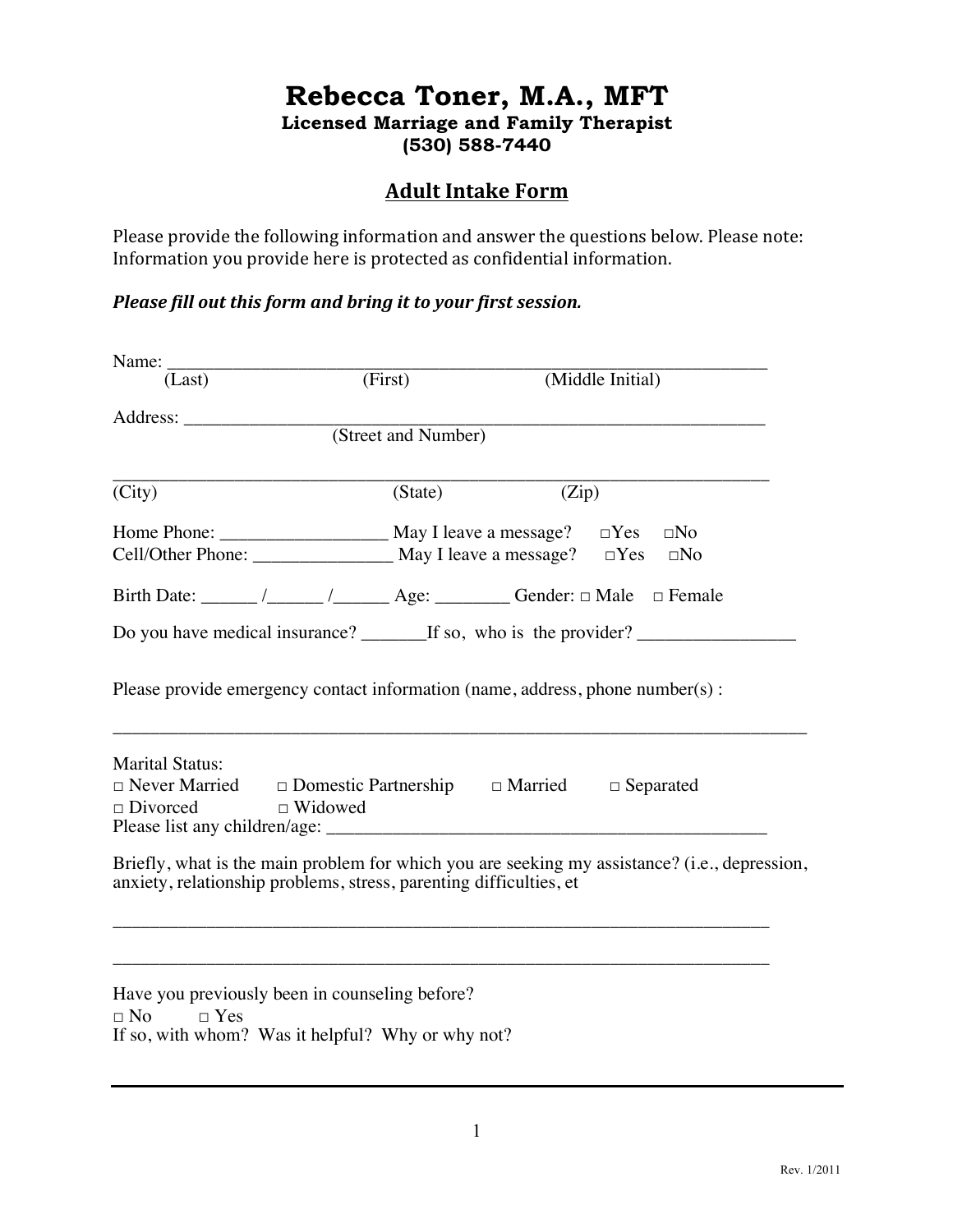# **Rebecca Toner, M.A., MFT Licensed Marriage and Family Therapist (530) 588-7440**

# **Adult Intake Form**

Please provide the following information and answer the questions below. Please note: Information you provide here is protected as confidential information.

## *Please fill out this form and bring it to your first session.*

| Name:                                                    |                                                                                                     |                                                                                               |  |
|----------------------------------------------------------|-----------------------------------------------------------------------------------------------------|-----------------------------------------------------------------------------------------------|--|
| (Last)                                                   | (First)                                                                                             | (Middle Initial)                                                                              |  |
|                                                          |                                                                                                     |                                                                                               |  |
|                                                          | (Street and Number)                                                                                 |                                                                                               |  |
| $\overline{\text{(City)}\text{ }}$                       | (State)                                                                                             | (Zip)                                                                                         |  |
|                                                          |                                                                                                     |                                                                                               |  |
|                                                          |                                                                                                     | Cell/Other Phone: _______________________ May I leave a message? □Yes □No                     |  |
|                                                          |                                                                                                     | Birth Date: ______/______/_______Age: __________ Gender: □ Male □ Female                      |  |
|                                                          |                                                                                                     |                                                                                               |  |
| <b>Marital Status:</b><br>$\Box$ Divorced $\Box$ Widowed |                                                                                                     | $\Box$ Never Married $\Box$ Domestic Partnership $\Box$ Married $\Box$ Separated              |  |
|                                                          | anxiety, relationship problems, stress, parenting difficulties, et                                  | Briefly, what is the main problem for which you are seeking my assistance? (i.e., depression, |  |
| $\Box$ No<br>$\Box$ Yes                                  | Have you previously been in counseling before?<br>If so, with whom? Was it helpful? Why or why not? | <u> 1989 - Johann Stoff, amerikansk politiker (d. 1989)</u>                                   |  |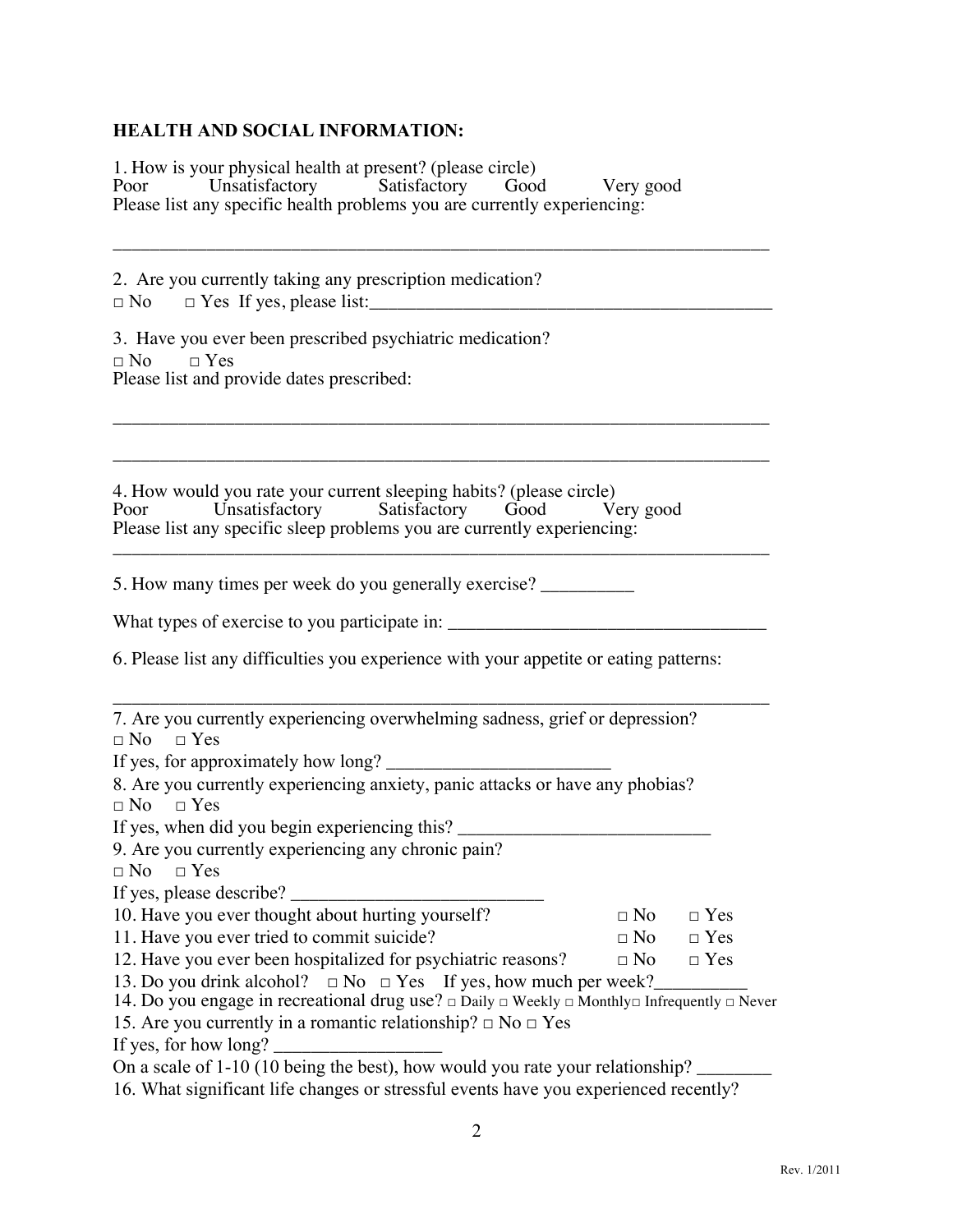#### **HEALTH AND SOCIAL INFORMATION:**

1. How is your physical health at present? (please circle)<br>Poor Unsatisfactory Satisfactory Good Poor Unsatisfactory Satisfactory Good Very good Please list any specific health problems you are currently experiencing:

\_\_\_\_\_\_\_\_\_\_\_\_\_\_\_\_\_\_\_\_\_\_\_\_\_\_\_\_\_\_\_\_\_\_\_\_\_\_\_\_\_\_\_\_\_\_\_\_\_\_\_\_\_\_\_\_\_\_\_\_\_\_\_\_\_\_\_\_\_\_

\_\_\_\_\_\_\_\_\_\_\_\_\_\_\_\_\_\_\_\_\_\_\_\_\_\_\_\_\_\_\_\_\_\_\_\_\_\_\_\_\_\_\_\_\_\_\_\_\_\_\_\_\_\_\_\_\_\_\_\_\_\_\_\_\_\_\_\_\_\_

\_\_\_\_\_\_\_\_\_\_\_\_\_\_\_\_\_\_\_\_\_\_\_\_\_\_\_\_\_\_\_\_\_\_\_\_\_\_\_\_\_\_\_\_\_\_\_\_\_\_\_\_\_\_\_\_\_\_\_\_\_\_\_\_\_\_\_\_\_\_

2. Are you currently taking any prescription medication?  $\Box$  No  $\Box$  Yes If yes, please list:

3. Have you ever been prescribed psychiatric medication?  $\neg$  No  $\neg$  Yes Please list and provide dates prescribed:

4. How would you rate your current sleeping habits? (please circle)<br>Poor Unsatisfactory Satisfactory Good Very good Satisfactory Please list any specific sleep problems you are currently experiencing: \_\_\_\_\_\_\_\_\_\_\_\_\_\_\_\_\_\_\_\_\_\_\_\_\_\_\_\_\_\_\_\_\_\_\_\_\_\_\_\_\_\_\_\_\_\_\_\_\_\_\_\_\_\_\_\_\_\_\_\_\_\_\_\_\_\_\_\_\_\_

5. How many times per week do you generally exercise? \_\_\_\_\_\_\_\_\_\_

What types of exercise to you participate in: \_\_\_\_\_\_\_\_\_\_\_\_\_\_\_\_\_\_\_\_\_\_\_\_\_\_\_\_\_\_\_\_\_\_

6. Please list any difficulties you experience with your appetite or eating patterns:

\_\_\_\_\_\_\_\_\_\_\_\_\_\_\_\_\_\_\_\_\_\_\_\_\_\_\_\_\_\_\_\_\_\_\_\_\_\_\_\_\_\_\_\_\_\_\_\_\_\_\_\_\_\_\_\_\_\_\_\_\_\_\_\_\_\_\_\_\_\_

| 7. Are you currently experiencing overwhelming sadness, grief or depression?                                           |           |            |
|------------------------------------------------------------------------------------------------------------------------|-----------|------------|
| $\Box$ No $\Box$ Yes                                                                                                   |           |            |
| If yes, for approximately how long?                                                                                    |           |            |
| 8. Are you currently experiencing anxiety, panic attacks or have any phobias?                                          |           |            |
| $\Box$ No $\Box$ Yes                                                                                                   |           |            |
| If yes, when did you begin experiencing this?                                                                          |           |            |
| 9. Are you currently experiencing any chronic pain?                                                                    |           |            |
| $\Box$ No $\Box$ Yes                                                                                                   |           |            |
| If yes, please describe?                                                                                               |           |            |
| 10. Have you ever thought about hurting yourself?                                                                      |           | $\Box$ Yes |
| 11. Have you ever tried to commit suicide?                                                                             | $\Box$ No | $\Box$ Yes |
| 12. Have you ever been hospitalized for psychiatric reasons?                                                           | $\Box$ No | $\Box$ Yes |
| 13. Do you drink alcohol? $\Box$ No $\Box$ Yes If yes, how much per week?                                              |           |            |
| 14. Do you engage in recreational drug use? $\Box$ Daily $\Box$ Weekly $\Box$ Monthly $\Box$ Infrequently $\Box$ Never |           |            |
| 15. Are you currently in a romantic relationship? $\Box$ No $\Box$ Yes                                                 |           |            |
| If yes, for how long?                                                                                                  |           |            |
| On a scale of $1-10$ (10 being the best), how would you rate your relationship?                                        |           |            |
| 16. What gignificant life changes or stressful events have vey experienced recently?                                   |           |            |

16. What significant life changes or stressful events have you experienced recently?